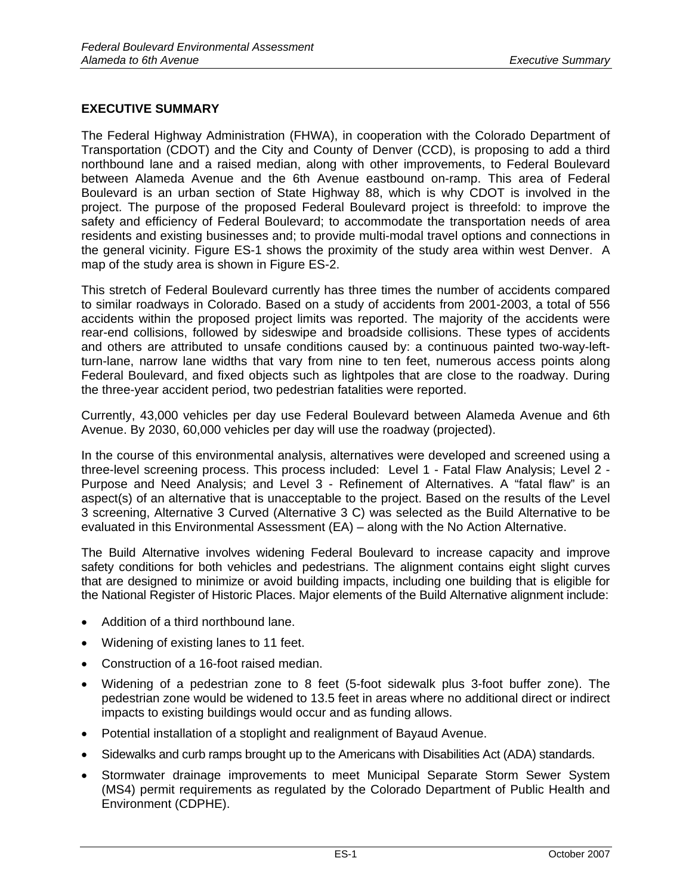# **EXECUTIVE SUMMARY**

The Federal Highway Administration (FHWA), in cooperation with the Colorado Department of Transportation (CDOT) and the City and County of Denver (CCD), is proposing to add a third northbound lane and a raised median, along with other improvements, to Federal Boulevard between Alameda Avenue and the 6th Avenue eastbound on-ramp. This area of Federal Boulevard is an urban section of State Highway 88, which is why CDOT is involved in the project. The purpose of the proposed Federal Boulevard project is threefold: to improve the safety and efficiency of Federal Boulevard; to accommodate the transportation needs of area residents and existing businesses and; to provide multi-modal travel options and connections in the general vicinity. Figure ES-1 shows the proximity of the study area within west Denver. A map of the study area is shown in Figure ES-2.

This stretch of Federal Boulevard currently has three times the number of accidents compared to similar roadways in Colorado. Based on a study of accidents from 2001-2003, a total of 556 accidents within the proposed project limits was reported. The majority of the accidents were rear-end collisions, followed by sideswipe and broadside collisions. These types of accidents and others are attributed to unsafe conditions caused by: a continuous painted two-way-leftturn-lane, narrow lane widths that vary from nine to ten feet, numerous access points along Federal Boulevard, and fixed objects such as lightpoles that are close to the roadway. During the three-year accident period, two pedestrian fatalities were reported.

Currently, 43,000 vehicles per day use Federal Boulevard between Alameda Avenue and 6th Avenue. By 2030, 60,000 vehicles per day will use the roadway (projected).

In the course of this environmental analysis, alternatives were developed and screened using a three-level screening process. This process included: Level 1 - Fatal Flaw Analysis; Level 2 - Purpose and Need Analysis; and Level 3 - Refinement of Alternatives. A "fatal flaw" is an aspect(s) of an alternative that is unacceptable to the project. Based on the results of the Level 3 screening, Alternative 3 Curved (Alternative 3 C) was selected as the Build Alternative to be evaluated in this Environmental Assessment (EA) – along with the No Action Alternative.

The Build Alternative involves widening Federal Boulevard to increase capacity and improve safety conditions for both vehicles and pedestrians. The alignment contains eight slight curves that are designed to minimize or avoid building impacts, including one building that is eligible for the National Register of Historic Places. Major elements of the Build Alternative alignment include:

- Addition of a third northbound lane.
- Widening of existing lanes to 11 feet.
- Construction of a 16-foot raised median.
- Widening of a pedestrian zone to 8 feet (5-foot sidewalk plus 3-foot buffer zone). The pedestrian zone would be widened to 13.5 feet in areas where no additional direct or indirect impacts to existing buildings would occur and as funding allows.
- Potential installation of a stoplight and realignment of Bayaud Avenue.
- Sidewalks and curb ramps brought up to the Americans with Disabilities Act (ADA) standards.
- Stormwater drainage improvements to meet Municipal Separate Storm Sewer System (MS4) permit requirements as regulated by the Colorado Department of Public Health and Environment (CDPHE).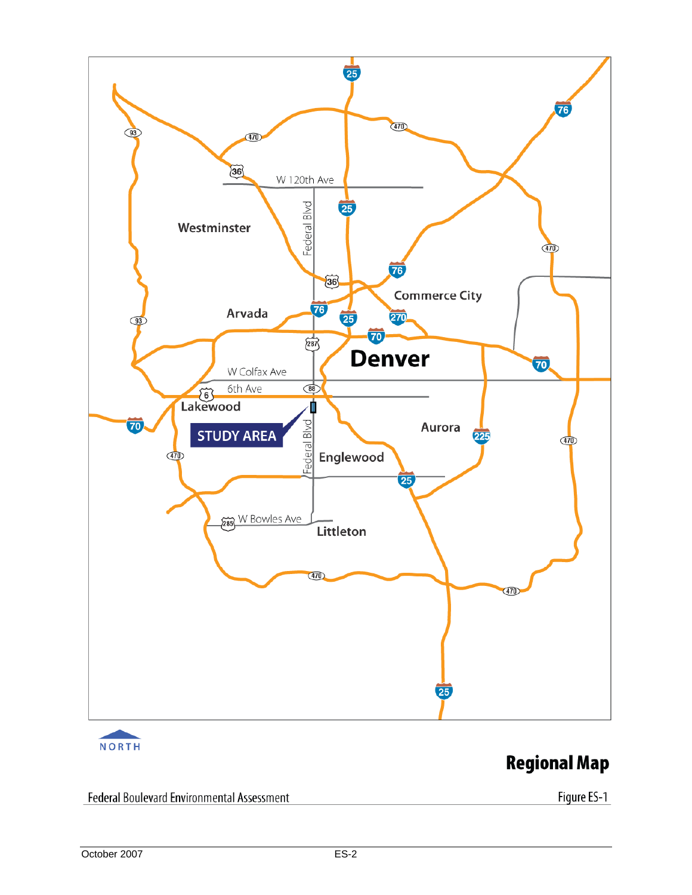

# **Regional Map**

Federal Boulevard Environmental Assessment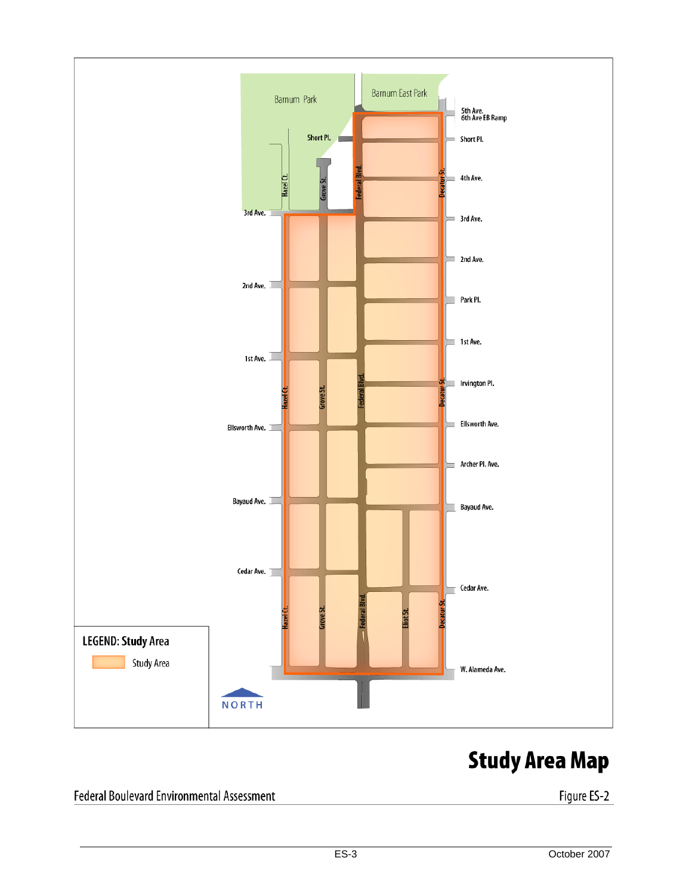

# **Study Area Map**

Federal Boulevard Environmental Assessment

Figure ES-2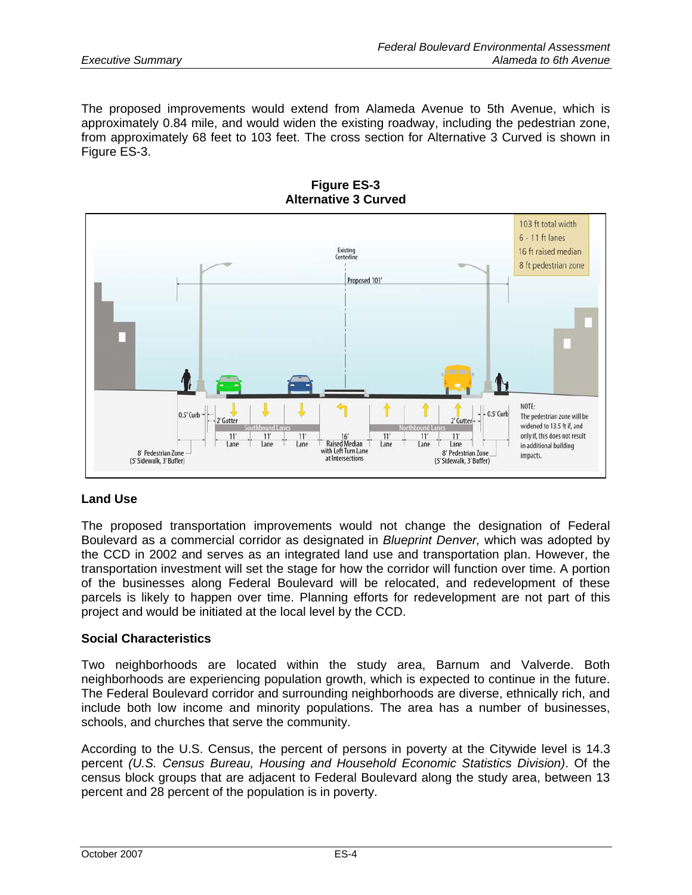The proposed improvements would extend from Alameda Avenue to 5th Avenue, which is approximately 0.84 mile, and would widen the existing roadway, including the pedestrian zone, from approximately 68 feet to 103 feet. The cross section for Alternative 3 Curved is shown in Figure ES-3.



**Figure ES-3 Alternative 3 Curved** 

# **Land Use**

The proposed transportation improvements would not change the designation of Federal Boulevard as a commercial corridor as designated in *Blueprint Denver,* which was adopted by the CCD in 2002 and serves as an integrated land use and transportation plan. However, the transportation investment will set the stage for how the corridor will function over time. A portion of the businesses along Federal Boulevard will be relocated, and redevelopment of these parcels is likely to happen over time. Planning efforts for redevelopment are not part of this project and would be initiated at the local level by the CCD.

# **Social Characteristics**

Two neighborhoods are located within the study area, Barnum and Valverde. Both neighborhoods are experiencing population growth, which is expected to continue in the future. The Federal Boulevard corridor and surrounding neighborhoods are diverse, ethnically rich, and include both low income and minority populations. The area has a number of businesses, schools, and churches that serve the community.

According to the U.S. Census, the percent of persons in poverty at the Citywide level is 14.3 percent *(U.S. Census Bureau, Housing and Household Economic Statistics Division)*. Of the census block groups that are adjacent to Federal Boulevard along the study area, between 13 percent and 28 percent of the population is in poverty.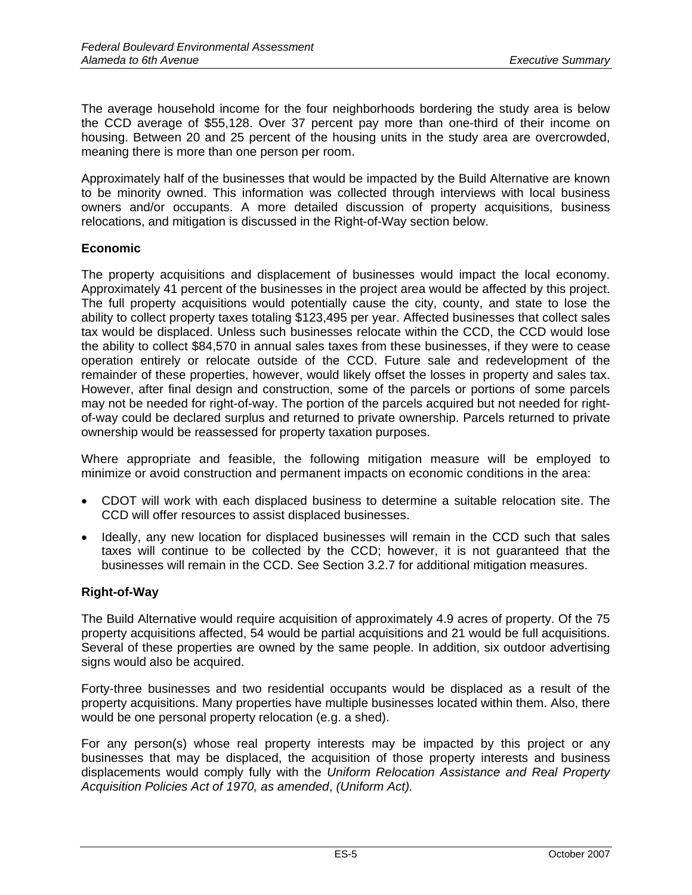The average household income for the four neighborhoods bordering the study area is below the CCD average of \$55,128. Over 37 percent pay more than one-third of their income on housing. Between 20 and 25 percent of the housing units in the study area are overcrowded, meaning there is more than one person per room.

Approximately half of the businesses that would be impacted by the Build Alternative are known to be minority owned. This information was collected through interviews with local business owners and/or occupants. A more detailed discussion of property acquisitions, business relocations, and mitigation is discussed in the Right-of-Way section below.

# **Economic**

The property acquisitions and displacement of businesses would impact the local economy. Approximately 41 percent of the businesses in the project area would be affected by this project. The full property acquisitions would potentially cause the city, county, and state to lose the ability to collect property taxes totaling \$123,495 per year. Affected businesses that collect sales tax would be displaced. Unless such businesses relocate within the CCD, the CCD would lose the ability to collect \$84,570 in annual sales taxes from these businesses, if they were to cease operation entirely or relocate outside of the CCD. Future sale and redevelopment of the remainder of these properties, however, would likely offset the losses in property and sales tax. However, after final design and construction, some of the parcels or portions of some parcels may not be needed for right-of-way. The portion of the parcels acquired but not needed for rightof-way could be declared surplus and returned to private ownership. Parcels returned to private ownership would be reassessed for property taxation purposes.

Where appropriate and feasible, the following mitigation measure will be employed to minimize or avoid construction and permanent impacts on economic conditions in the area:

- CDOT will work with each displaced business to determine a suitable relocation site. The CCD will offer resources to assist displaced businesses.
- Ideally, any new location for displaced businesses will remain in the CCD such that sales taxes will continue to be collected by the CCD; however, it is not guaranteed that the businesses will remain in the CCD. See Section 3.2.7 for additional mitigation measures.

# **Right-of-Way**

The Build Alternative would require acquisition of approximately 4.9 acres of property. Of the 75 property acquisitions affected, 54 would be partial acquisitions and 21 would be full acquisitions. Several of these properties are owned by the same people. In addition, six outdoor advertising signs would also be acquired.

Forty-three businesses and two residential occupants would be displaced as a result of the property acquisitions. Many properties have multiple businesses located within them. Also, there would be one personal property relocation (e.g. a shed).

For any person(s) whose real property interests may be impacted by this project or any businesses that may be displaced, the acquisition of those property interests and business displacements would comply fully with the *Uniform Relocation Assistance and Real Property Acquisition Policies Act of 1970, as amended*, *(Uniform Act).*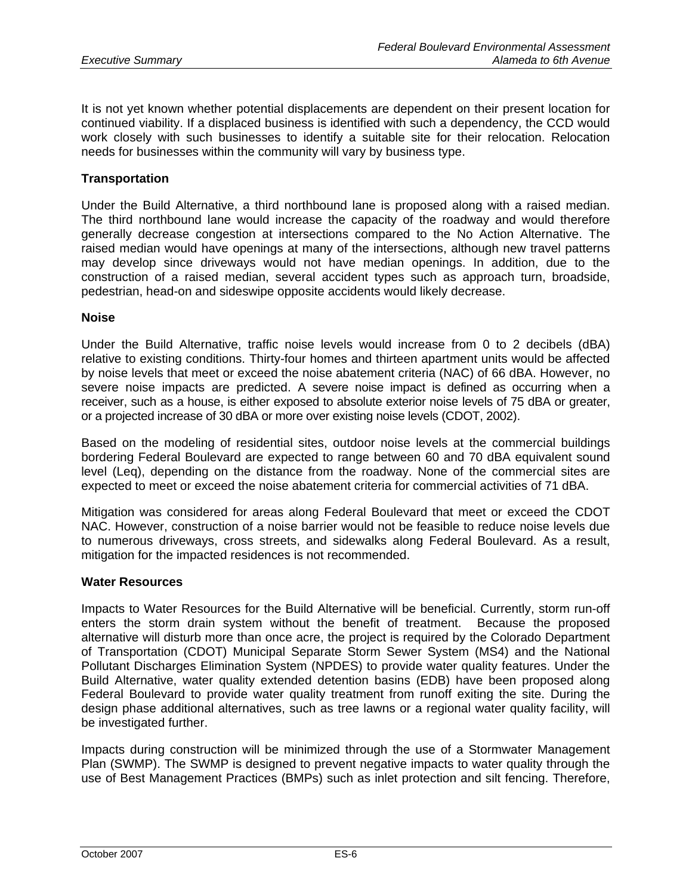It is not yet known whether potential displacements are dependent on their present location for continued viability. If a displaced business is identified with such a dependency, the CCD would work closely with such businesses to identify a suitable site for their relocation. Relocation needs for businesses within the community will vary by business type.

#### **Transportation**

Under the Build Alternative, a third northbound lane is proposed along with a raised median. The third northbound lane would increase the capacity of the roadway and would therefore generally decrease congestion at intersections compared to the No Action Alternative. The raised median would have openings at many of the intersections, although new travel patterns may develop since driveways would not have median openings. In addition, due to the construction of a raised median, several accident types such as approach turn, broadside, pedestrian, head-on and sideswipe opposite accidents would likely decrease.

#### **Noise**

Under the Build Alternative, traffic noise levels would increase from 0 to 2 decibels (dBA) relative to existing conditions. Thirty-four homes and thirteen apartment units would be affected by noise levels that meet or exceed the noise abatement criteria (NAC) of 66 dBA. However, no severe noise impacts are predicted. A severe noise impact is defined as occurring when a receiver, such as a house, is either exposed to absolute exterior noise levels of 75 dBA or greater, or a projected increase of 30 dBA or more over existing noise levels (CDOT, 2002).

Based on the modeling of residential sites, outdoor noise levels at the commercial buildings bordering Federal Boulevard are expected to range between 60 and 70 dBA equivalent sound level (Leq), depending on the distance from the roadway. None of the commercial sites are expected to meet or exceed the noise abatement criteria for commercial activities of 71 dBA.

Mitigation was considered for areas along Federal Boulevard that meet or exceed the CDOT NAC. However, construction of a noise barrier would not be feasible to reduce noise levels due to numerous driveways, cross streets, and sidewalks along Federal Boulevard. As a result, mitigation for the impacted residences is not recommended.

#### **Water Resources**

Impacts to Water Resources for the Build Alternative will be beneficial. Currently, storm run-off enters the storm drain system without the benefit of treatment. Because the proposed alternative will disturb more than once acre, the project is required by the Colorado Department of Transportation (CDOT) Municipal Separate Storm Sewer System (MS4) and the National Pollutant Discharges Elimination System (NPDES) to provide water quality features. Under the Build Alternative, water quality extended detention basins (EDB) have been proposed along Federal Boulevard to provide water quality treatment from runoff exiting the site. During the design phase additional alternatives, such as tree lawns or a regional water quality facility, will be investigated further.

Impacts during construction will be minimized through the use of a Stormwater Management Plan (SWMP). The SWMP is designed to prevent negative impacts to water quality through the use of Best Management Practices (BMPs) such as inlet protection and silt fencing. Therefore,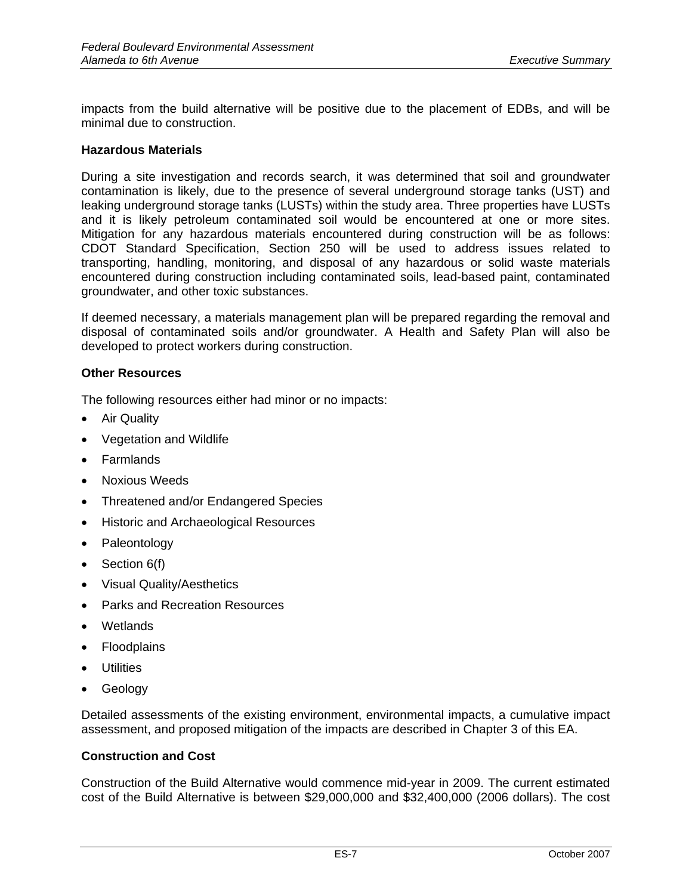impacts from the build alternative will be positive due to the placement of EDBs, and will be minimal due to construction.

#### **Hazardous Materials**

During a site investigation and records search, it was determined that soil and groundwater contamination is likely, due to the presence of several underground storage tanks (UST) and leaking underground storage tanks (LUSTs) within the study area. Three properties have LUSTs and it is likely petroleum contaminated soil would be encountered at one or more sites. Mitigation for any hazardous materials encountered during construction will be as follows: CDOT Standard Specification, Section 250 will be used to address issues related to transporting, handling, monitoring, and disposal of any hazardous or solid waste materials encountered during construction including contaminated soils, lead-based paint, contaminated groundwater, and other toxic substances.

If deemed necessary, a materials management plan will be prepared regarding the removal and disposal of contaminated soils and/or groundwater. A Health and Safety Plan will also be developed to protect workers during construction.

#### **Other Resources**

The following resources either had minor or no impacts:

- Air Quality
- Vegetation and Wildlife
- Farmlands
- Noxious Weeds
- Threatened and/or Endangered Species
- Historic and Archaeological Resources
- Paleontology
- Section 6(f)
- Visual Quality/Aesthetics
- Parks and Recreation Resources
- Wetlands
- Floodplains
- Utilities
- Geology

Detailed assessments of the existing environment, environmental impacts, a cumulative impact assessment, and proposed mitigation of the impacts are described in Chapter 3 of this EA.

#### **Construction and Cost**

Construction of the Build Alternative would commence mid-year in 2009. The current estimated cost of the Build Alternative is between \$29,000,000 and \$32,400,000 (2006 dollars). The cost